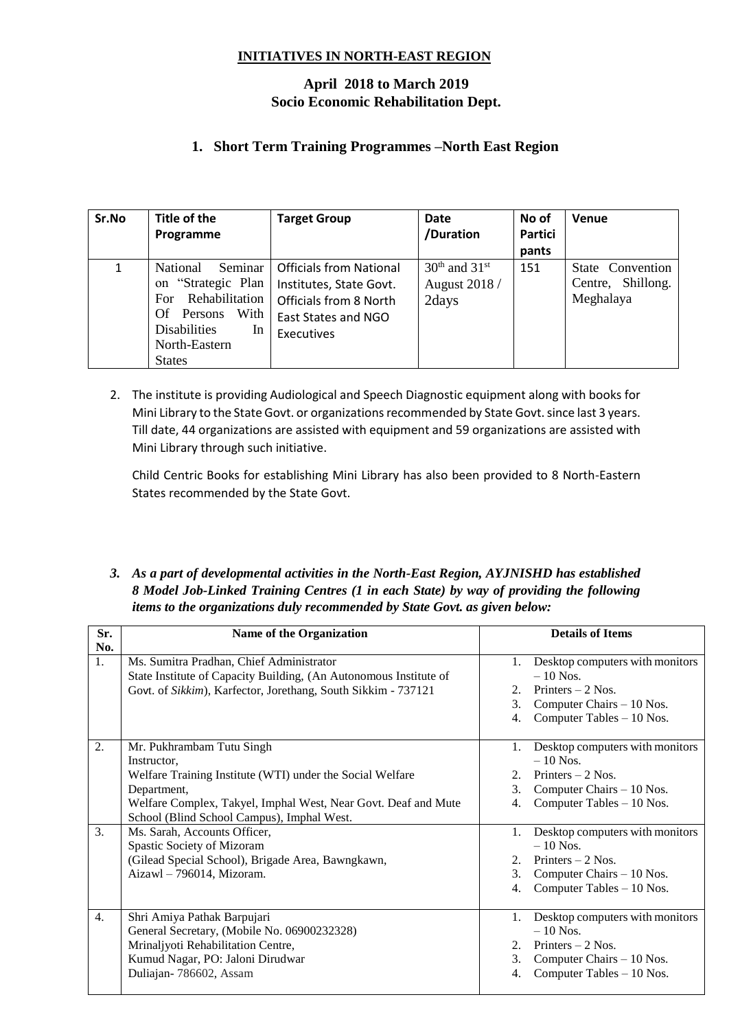### **INITIATIVES IN NORTH-EAST REGION**

# **April 2018 to March 2019 Socio Economic Rehabilitation Dept.**

## **1. Short Term Training Programmes –North East Region**

| Sr.No        | Title of the                                                                                                                                                  | <b>Target Group</b>                                                                                                      | <b>Date</b>                                 | No of   | <b>Venue</b>                                       |
|--------------|---------------------------------------------------------------------------------------------------------------------------------------------------------------|--------------------------------------------------------------------------------------------------------------------------|---------------------------------------------|---------|----------------------------------------------------|
|              | Programme                                                                                                                                                     |                                                                                                                          | /Duration                                   | Partici |                                                    |
|              |                                                                                                                                                               |                                                                                                                          |                                             | pants   |                                                    |
| $\mathbf{1}$ | Seminar<br>National<br>on "Strategic Plan<br>Rehabilitation<br>For.<br>With<br>Persons<br>Of.<br><b>Disabilities</b><br>In.<br>North-Eastern<br><b>States</b> | <b>Officials from National</b><br>Institutes, State Govt.<br>Officials from 8 North<br>East States and NGO<br>Executives | $30th$ and $31st$<br>August 2018 /<br>2days | 151     | State Convention<br>Centre, Shillong.<br>Meghalaya |

2. The institute is providing Audiological and Speech Diagnostic equipment along with books for Mini Library to the State Govt. or organizations recommended by State Govt. since last 3 years. Till date, 44 organizations are assisted with equipment and 59 organizations are assisted with Mini Library through such initiative.

Child Centric Books for establishing Mini Library has also been provided to 8 North-Eastern States recommended by the State Govt.

#### *3. As a part of developmental activities in the North-East Region, AYJNISHD has established 8 Model Job-Linked Training Centres (1 in each State) by way of providing the following items to the organizations duly recommended by State Govt. as given below:*

| Sr. | Name of the Organization                                          |         | <b>Details of Items</b>         |
|-----|-------------------------------------------------------------------|---------|---------------------------------|
| No. |                                                                   |         |                                 |
| 1.  | Ms. Sumitra Pradhan, Chief Administrator                          | 1.      | Desktop computers with monitors |
|     | State Institute of Capacity Building, (An Autonomous Institute of |         | $-10$ Nos.                      |
|     | Govt. of Sikkim), Karfector, Jorethang, South Sikkim - 737121     | 2.      | Printers $-2$ Nos.              |
|     |                                                                   | 3.      | Computer Chairs – 10 Nos.       |
|     |                                                                   | 4.      | Computer Tables - 10 Nos.       |
| 2.  | Mr. Pukhrambam Tutu Singh                                         | 1.      | Desktop computers with monitors |
|     | Instructor,                                                       |         | $-10$ Nos.                      |
|     | Welfare Training Institute (WTI) under the Social Welfare         | $2^{1}$ | Printers $-2$ Nos.              |
|     | Department,                                                       | 3.      | Computer Chairs – 10 Nos.       |
|     | Welfare Complex, Takyel, Imphal West, Near Govt. Deaf and Mute    | 4.      | Computer Tables - 10 Nos.       |
|     | School (Blind School Campus), Imphal West.                        |         |                                 |
| 3.  | Ms. Sarah, Accounts Officer,                                      | 1.      | Desktop computers with monitors |
|     | Spastic Society of Mizoram                                        |         | $-10$ Nos.                      |
|     | (Gilead Special School), Brigade Area, Bawngkawn,                 | 2.      | Printers $-2$ Nos.              |
|     | Aizawl - 796014, Mizoram.                                         | 3.      | Computer Chairs – 10 Nos.       |
|     |                                                                   | 4.      | Computer Tables - 10 Nos.       |
| 4.  | Shri Amiya Pathak Barpujari                                       | 1.      | Desktop computers with monitors |
|     | General Secretary, (Mobile No. 06900232328)                       |         | $-10$ Nos.                      |
|     | Mrinaljyoti Rehabilitation Centre,                                | 2.      | Printers $-2$ Nos.              |
|     | Kumud Nagar, PO: Jaloni Dirudwar                                  | 3.      | Computer Chairs – 10 Nos.       |
|     | Duliajan-786602, Assam                                            | 4.      | Computer Tables - 10 Nos.       |
|     |                                                                   |         |                                 |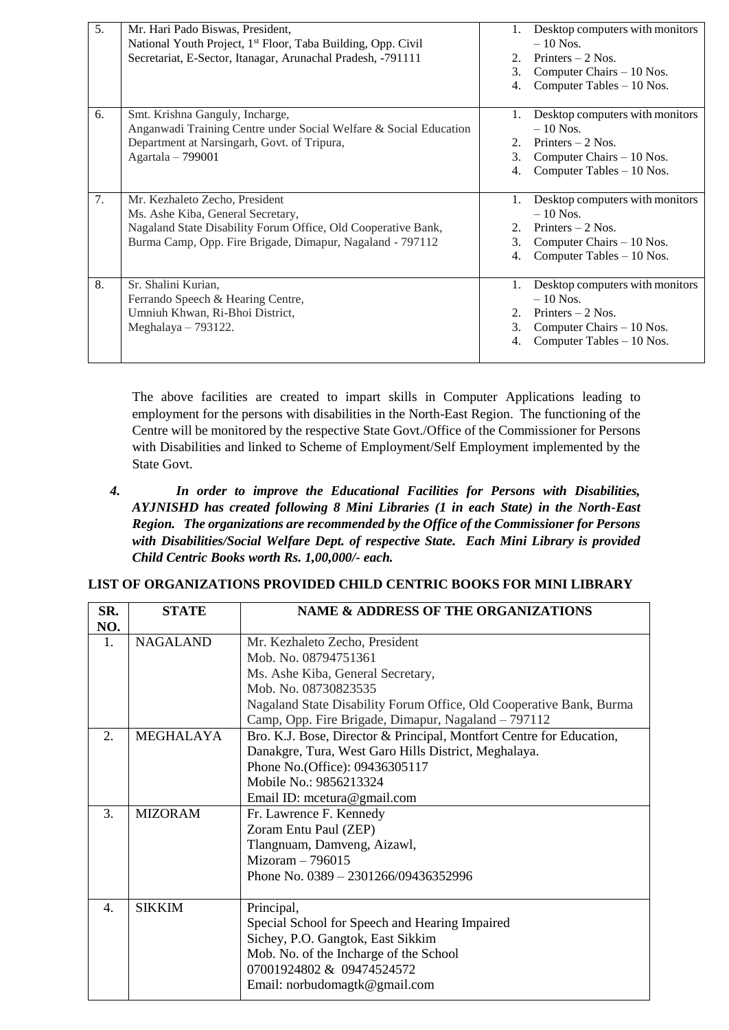| 5. | Mr. Hari Pado Biswas, President,<br>National Youth Project, 1 <sup>st</sup> Floor, Taba Building, Opp. Civil<br>Secretariat, E-Sector, Itanagar, Arunachal Pradesh, -791111                       | 2.<br>3.<br>4.            | Desktop computers with monitors<br>$-10$ Nos.<br>Printers $-2$ Nos.<br>Computer Chairs – 10 Nos.<br>Computer Tables - 10 Nos.  |
|----|---------------------------------------------------------------------------------------------------------------------------------------------------------------------------------------------------|---------------------------|--------------------------------------------------------------------------------------------------------------------------------|
| 6. | Smt. Krishna Ganguly, Incharge,<br>Anganwadi Training Centre under Social Welfare & Social Education<br>Department at Narsingarh, Govt. of Tripura,<br>Agartala - 799001                          | 1.<br>$2_{1}$<br>3.<br>4. | Desktop computers with monitors<br>$-10$ Nos.<br>Printers $-2$ Nos.<br>Computer Chairs - 10 Nos.<br>Computer Tables - 10 Nos.  |
| 7. | Mr. Kezhaleto Zecho, President<br>Ms. Ashe Kiba, General Secretary,<br>Nagaland State Disability Forum Office, Old Cooperative Bank,<br>Burma Camp, Opp. Fire Brigade, Dimapur, Nagaland - 797112 | 1.<br>$2^{+}$<br>3.<br>4. | Desktop computers with monitors<br>$-10$ Nos.<br>Printers $-2$ Nos.<br>Computer Chairs $-10$ Nos.<br>Computer Tables - 10 Nos. |
| 8. | Sr. Shalini Kurian,<br>Ferrando Speech & Hearing Centre,<br>Umniuh Khwan, Ri-Bhoi District,<br>Meghalaya $-793122$ .                                                                              | 1.<br>2.<br>3.<br>4.      | Desktop computers with monitors<br>$-10$ Nos.<br>Printers $-2$ Nos.<br>Computer Chairs – 10 Nos.<br>Computer Tables - 10 Nos.  |

The above facilities are created to impart skills in Computer Applications leading to employment for the persons with disabilities in the North-East Region. The functioning of the Centre will be monitored by the respective State Govt./Office of the Commissioner for Persons with Disabilities and linked to Scheme of Employment/Self Employment implemented by the State Govt.

*4. In order to improve the Educational Facilities for Persons with Disabilities, AYJNISHD has created following 8 Mini Libraries (1 in each State) in the North-East Region. The organizations are recommended by the Office of the Commissioner for Persons with Disabilities/Social Welfare Dept. of respective State. Each Mini Library is provided Child Centric Books worth Rs. 1,00,000/- each.*

#### **LIST OF ORGANIZATIONS PROVIDED CHILD CENTRIC BOOKS FOR MINI LIBRARY**

| SR. | <b>STATE</b>     | <b>NAME &amp; ADDRESS OF THE ORGANIZATIONS</b>                       |  |  |
|-----|------------------|----------------------------------------------------------------------|--|--|
| NO. |                  |                                                                      |  |  |
| 1.  | <b>NAGALAND</b>  | Mr. Kezhaleto Zecho, President                                       |  |  |
|     |                  | Mob. No. 08794751361                                                 |  |  |
|     |                  | Ms. Ashe Kiba, General Secretary,                                    |  |  |
|     |                  | Mob. No. 08730823535                                                 |  |  |
|     |                  | Nagaland State Disability Forum Office, Old Cooperative Bank, Burma  |  |  |
|     |                  | Camp, Opp. Fire Brigade, Dimapur, Nagaland – 797112                  |  |  |
| 2.  | <b>MEGHALAYA</b> | Bro. K.J. Bose, Director & Principal, Montfort Centre for Education, |  |  |
|     |                  | Danakgre, Tura, West Garo Hills District, Meghalaya.                 |  |  |
|     |                  | Phone No. (Office): 09436305117                                      |  |  |
|     |                  | Mobile No.: 9856213324                                               |  |  |
|     |                  | Email ID: mcetura@gmail.com                                          |  |  |
| 3.  | <b>MIZORAM</b>   | Fr. Lawrence F. Kennedy                                              |  |  |
|     |                  | Zoram Entu Paul (ZEP)                                                |  |  |
|     |                  | Tlangnuam, Damveng, Aizawl,                                          |  |  |
|     |                  | $Mizoram - 796015$                                                   |  |  |
|     |                  | Phone No. $0389 - 2301266/09436352996$                               |  |  |
|     |                  |                                                                      |  |  |
| 4.  | <b>SIKKIM</b>    | Principal,                                                           |  |  |
|     |                  | Special School for Speech and Hearing Impaired                       |  |  |
|     |                  | Sichey, P.O. Gangtok, East Sikkim                                    |  |  |
|     |                  | Mob. No. of the Incharge of the School                               |  |  |
|     |                  | 07001924802 & 09474524572                                            |  |  |
|     |                  | Email: norbudomagtk@gmail.com                                        |  |  |